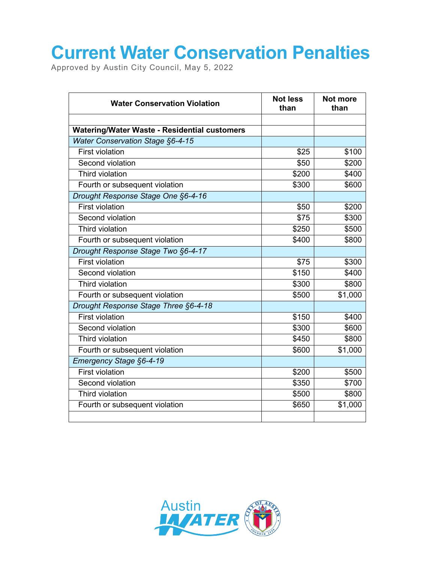## **Current Water Conservation Penalties**

Approved by Austin City Council, May 5, 2022

| <b>Water Conservation Violation</b>          | <b>Not less</b><br>than | Not more<br>than |
|----------------------------------------------|-------------------------|------------------|
|                                              |                         |                  |
| Watering/Water Waste - Residential customers |                         |                  |
| <b>Water Conservation Stage §6-4-15</b>      |                         |                  |
| <b>First violation</b>                       | \$25                    | \$100            |
| Second violation                             | \$50                    | \$200            |
| <b>Third violation</b>                       | \$200                   | \$400            |
| Fourth or subsequent violation               | \$300                   | \$600            |
| Drought Response Stage One §6-4-16           |                         |                  |
| <b>First violation</b>                       | \$50                    | \$200            |
| Second violation                             | \$75                    | \$300            |
| <b>Third violation</b>                       | \$250                   | \$500            |
| Fourth or subsequent violation               | \$400                   | \$800            |
| Drought Response Stage Two §6-4-17           |                         |                  |
| <b>First violation</b>                       | \$75                    | \$300            |
| Second violation                             | \$150                   | \$400            |
| Third violation                              | \$300                   | \$800            |
| Fourth or subsequent violation               | \$500                   | \$1,000          |
| Drought Response Stage Three §6-4-18         |                         |                  |
| <b>First violation</b>                       | \$150                   | \$400            |
| Second violation                             | \$300                   | \$600            |
| Third violation                              | \$450                   | \$800            |
| Fourth or subsequent violation               | \$600                   | \$1,000          |
| Emergency Stage §6-4-19                      |                         |                  |
| <b>First violation</b>                       | \$200                   | \$500            |
| Second violation                             | \$350                   | \$700            |
| Third violation                              | \$500                   | \$800            |
| Fourth or subsequent violation               | \$650                   | \$1,000          |
|                                              |                         |                  |